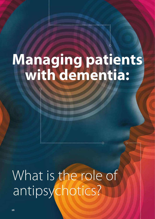# **Managing patients with dementia:**

What is the role of antipsychotics?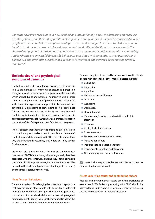*Concerns have been raised, both in New Zealand and internationally, about the increasing off-label use of antipsychotics, and their safety profile in older people. Antipsychotics should not be considered in older people with dementia before non-pharmacological treatment strategies have been trialled. The potential benefit of antipsychotics needs to be weighed against the significant likelihood of adverse effects. The choice of antipsychotic is also important and needs to take into account both relative efficacy and safety. Antipsychotics are only useful for specific behaviours associated with dementia, such as psychosis and agitation. If antipsychotics are prescribed, response to treatment and adverse effects must be carefully monitored.* 

#### **The behavioural and psychological symptoms of dementia**

The behavioural and psychological symptoms of dementia (BPSD) are defined as symptoms of disturbed perception, thought, mood or behaviour in a person with dementia, which are not due to another major neuropsychiatric disorder, such as a major depressive episode.<sup>1</sup> Almost all people with dementia experience inappropriate behavioural and psychological symptoms at some point during their illness. This can cause significant stress to family and caregivers and result in institutionalisation. As there is no cure for dementia, appropriate treatment of BPSD can have a significant impact on the quality of life of the patient, their families and caregivers.

There is concern that antipsychotics are being over-prescribed to control inappropriate behaviour in people with dementia.<sup>2</sup> The first approach to managing BPSD is to try to understand why the behaviour is occurring, and, where possible, control for these factors.

Although the evidence base for non-pharmacological treatments of BPSD is not strong, there are generally less risks associated with these interventions and they should always be considered first. Non-pharmacological interventions should be tailored to the individual patient and the target behaviour(s) and the impact carefully monitored.

#### **Identify target behaviours**

There are a variety of challenging behaviours and symptoms that may present in older people with dementia. As different behaviours are often best managed using different approaches, it is critical to first decide which behaviours are being targeted for management. Identifying target behaviours also allows the response to treatment to be more accurately monitored.<sup>2</sup>

Common target problems and behaviours observed in elderly people with dementia or other mental illnesses include:2

- Calling out
- **Aggression**
- **Agitation**
- Hallucinations and illusions
- Delusions  $\overline{\phantom{a}}$
- Wandering
- **Depression**
- **Elevated mood**
- "Sundowning", e.g. increased agitation in the late afternoon
- **Insomnia**
- Apathy/lack of motivation  $\Box$
- **Extreme anxiety**
- Resistance or unease towards carers
- **Intrusive behaviours**
- **Inappropriate sexualised behaviour**
- **Inappropriate urination or defaecation**
- Other inappropriate social behaviours

 $\mathscr{P}$  Record the target problem(s) and the response to treatment in the patient's notes.

#### **Assess underlying causes and contributing factors**

Medical and environmental factors can often precipitate or exacerbate BPSD. Patients presenting with BPSD should be assessed to exclude reversible causes, minimise precipitating factors, and to develop an individualised plan.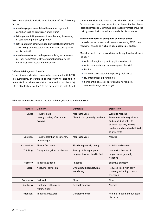Assessment should include consideration of the following factors:3

- Are the symptoms explained by another psychiatric condition such as depression or delirium?
- $\blacksquare$  Is the patient taking any medicines that may be causing or contributing to the symptoms?
- If is the patient in otherwise good physical health? Is there a possibility of undetected pain, infection, constipation or discomfort?
- Are there any factors in the patient's living environment, i.e. their home/care facility, or unmet personal needs which may be exacerbating behaviours?

#### **Differential diagnosis: The 3Ds**

Depression and delirium can also be associated with BPSDlike symptoms, therefore it is important to distinguish dementia from these conditions (referred to as the 3Ds). Differential features of the 3Ds are presented in Table 1, but

there is considerable overlap and the 3Ds often co-exist. Severe depression can present as a dementia-like illness (pseudodementia). Delirium can be caused by infections, drug toxicity, alcohol withdrawal and metabolic disturbances.

#### **Medicines that could precipitate or worsen BPSD**

If an older person presents with new or worsening BPSD, current medicines should be excluded as a possible precipitant.

Medicines which can be associated with cognitive impairment include:<sup>5</sup>

- Anticholinergics, e.g. amitriptyline, oxybutynin
- Anticonvulsants, e.g. carbamazepine, phenytoin
- **Lithium**
- Systemic corticosteroids, especially high doses
- H2 antagonists, e.g. ranitidine
- Some antibiotics, e.g. ciprofloxacin, norfloxacin, metronidazole, clarithromycin

| <b>Feature</b> | <b>Delirium</b>                                          | <b>Dementia</b>                                          | <b>Depression</b>                                                                                                                                            |
|----------------|----------------------------------------------------------|----------------------------------------------------------|--------------------------------------------------------------------------------------------------------------------------------------------------------------|
| Onset          | Hours to days<br>Usually sudden, often in the<br>evening | Months to years<br>Chronic and generally insidious       | Weeks to months<br>Sometimes relatively abrupt<br>and coinciding with life<br>changes, but may also be<br>insidious and not clearly linked<br>to life events |
| Duration       | Hours to less than one month,<br>rarely longer           | Months to years                                          | Months                                                                                                                                                       |
| Progression    | Abrupt, fluctuating                                      | Slow but generally steady                                | Variable and uneven                                                                                                                                          |
| Thinking       | Disorganised, slow, incoherent                           | Paucity of thought, poor<br>judgment; words hard to find | Intact with themes of<br>helplessness, generally<br>negative                                                                                                 |
| Memory         | Impaired, sudden                                         | Impaired                                                 | Selective or patchy                                                                                                                                          |
| Sleep          | Nocturnal confusion                                      | Often disturbed; nocturnal<br>wandering                  | Reduced sleep with early<br>morning wakening, or may<br>oversleep                                                                                            |
| Awareness      | Reduced                                                  | Clear                                                    | Clear                                                                                                                                                        |
| Alertness      | Fluctuates; lethargic or<br>hypervigilant                | Generally normal                                         | Normal                                                                                                                                                       |
| Attention      | Impaired, fluctuates                                     | Generally normal                                         | Minimal impairment but easily<br>distracted                                                                                                                  |

Table 1: Differential features of the 3Ds: delirium, dementia and depression<sup>4</sup>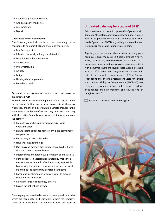- **Analgesics, particularly opioids**
- Anti-Parkinson's medicines
- ACE inhibitors
- **Digoxin**

#### **Undetected medical conditions**

The following medical conditions can potentially cause, contribute to or mimic BPSD and should be considered:<sup>3</sup>

- Pain (see opposite)
- **Infection (especially urinary tract infection)**
- **Dehydration or hyponatraemia**
- Constipation
- **Urinary retention**
- **Anxiety**
- **Fatique**
- Hearing/visual impairment
- Poor dental health

#### **Personal or environmental factors that can cause or exacerbate BPSD**

Problems in the design and configuration of the patient's home or residential facility can cause or exacerbate restlessness, frustration, anxiety and disorientation. Simple changes in the environment can be beneficial and may be worth discussing with the patient's family, carer or residential care manager, including:<sup>3, 8</sup>

- **Promote a calm, tranquil environment, i.e. avoid** overstimulation
- Ensure that the patient's home/room is at a comfortable temperature
- **Ensure easy access to the toilet**
- Have well lit surroundings
- Use signs and memory aids for objects within the home that the patient commonly uses
- **Improve time orientation, e.g. prominent calendar/clock**
- If the patient is in a residential care facility, make their environment as "home-like" and reassuring as possible, by ensuring the patient is surrounded by their personal belongings, including culturally significant items
- Encourage involvement in group activities to prevent boredom and loneliness
- $\blacksquare$  If possible, ensure consistency of carers
- **Ensure the patient has privacy**

Encouraging people with dementia to participate in activities which are meaningful and enjoyable to them may improve their sense of wellbeing and communication and lead to

#### **Untreated pain may be a cause of BPSD**

Pain is estimated to occur in up to 83% of patients with dementia.<sup>6</sup> It is often poorly recognised and undertreated due to the patient's difficulty in communicating their needs. Symptoms of BPSD, e.g. calling out, agitation and restlessness, can be due to undertreated pain.

Regularly ask the patient whether they have any pain. Keep questions simple, e.g. "is it sore"? or "does it hurt"? It may be necessary to observe breathing patterns, facial expression or vocalisations to assess pain in a patient with dementia. There are several tools available to help establish if a patient with cognitive impairment is in pain, if they cannot tell you in words. A New Zealand study found that the Pain Assessment Scale for Seniors with Limited Ability to Communicate (PACSLAC) was easily used by caregivers, and resulted in increased use of "as needed" analgesic medicines and reduced levels of caregiver stress.<sup>7</sup>

PACSLAC is available from: **www.rgpc.ca**

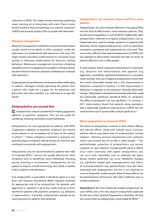reductions in BPSD. This might include exercising, gardening, music, dancing, art or interactions with a pet. There is some limited evidence that aromatherapy can improve symptoms of BPSD and increase quality of life in people with dementia.<sup>9</sup>

#### **Behaviour management**

Behaviour management is defined as a structured intervention, usually carried out by family or other caregivers, under the supervision of a professional with expertise in this area. This might involve providing reinforcement for increased social activity or removing reinforcement for attention seeking behaviour. Behavioural management involving scheduling enjoyable events or engagement in problem-solving activities has been shown to improve symptoms of depression in people with dementia.<sup>10</sup>

Inappropriate sexual behaviour can be particularly challenging to address. Strategies include separating the patient from a person who might be a trigger for the behaviour and distraction with other activities, e.g. craft work to occupy the hands.<sup>11</sup>

#### **Antipsychotics are second-line**

**Antipsychotics may be considered for treating aggression,** agitation or psychotic symptoms. They are not useful for wandering, shouting, touching or social withdrawal.

Antipsychotics are only appropriate for patients with BPSD if aggression, agitation or psychotic symptoms are causing severe distress or an immediate risk of harm to the patient or others.<sup>8, 10</sup> Unless emergency treatment is required, nonpharmacological treatment should always be tried first and continued concurrently with antipsychotics.

Antipsychotics are not recommended for patients with mild to moderate BPSD,<sup>10</sup> and are not usually effective for other symptoms such as wandering, social withdrawal, shouting, pacing, touching or incontinence.<sup>12</sup> Antipsychotics do not appear to improve overall functioning, care needs or quality of life in patients with dementia.<sup>13</sup>

If an antipsychotic is prescribed, it should be given on a trial basis, and response and adverse effects regularly reviewed. An appropriate trial of an antipsychotic for patients with aggression or agitation is up to four weeks and up to three months for patients with psychotic symptoms, e.g. delusions or hallucinations.<sup>2</sup> If possible, antipsychotics should not be used long-term for patients with dementia.

#### **Antipsychotics can modestly improve BPSD in some patients**

Antipsychotics are only modestly effective in managing BPSD, and the level of effectiveness varies between patients. They should not be regarded as a "cure" for BPSD. Traditionally, older antipsychotics (referred to as typical antipsychotics) such as haloperidol were used to manage symptoms in patients with dementia. Newer, atypical antipsychotics, such as risperidone, olanzapine, quetiapine and aripiprazole are now used. They are no more effective than typical antipsychotics for BPSD, but are regarded as being better tolerated and safer (in terms of adverse effects) to use in older people.<sup>2</sup>

A meta-analysis which measured improvement in psychosis (e.g. delusions and hallucinations) and agitation (e.g. aggression, excitability, oppositional behaviours or excessive motor activity) with use of atypical antipsychotics found that the overall observable change was a 35% improvement in behaviour compared to baseline.14 A 30% improvement in behaviour is regarded as the minimum clinically observable change.14 Risperidone, olanzapine and aripriprazole had a small, but statistically significant, beneficial effect on symptoms. The effect of quetiapine was not significant.<sup>14</sup> In contrast, a 2011 meta-analysis found that patients using quetiapine had a statistically significant improvement in BPSD, but the improvement was of questionable clinical significance.<sup>15</sup>

#### **Which antipsychotic to choose for BPSD?**

The choice of antipsychotic is based on their relative efficacy and adverse effects, along with subsidy status. Common adverse effects associated with all antipsychotics include sedation, dizziness, postural hypotension and confusion, which may increase the risk of falls in older people.<sup>5, 16</sup> The anticholinergic properties of antipsychotics can worsen cognition or cause delirium. Extrapyramidal adverse effects occur more commonly with typical antipsychotics, but can occur with risperidone even at relatively low doses. Rarely, tardive dyskinesia can occur. Metabolic changes, e.g. significant weight gain, hyperglycaemia and effects of increased prolactin (e.g. galactorrhoea), have also been associated with antipsychotics, but this is not observed to occur as frequently in older people. Many of these effects can be potentiated by interactions with other medicines and comorbid conditions.16

**Risperidone** is the most extensively studied antipsychotic for use in BPSD, and is the only atypical antipsychotic approved for this use in New Zealand. Risperidone is, therefore, the firstline choice when an antipsychotic is prescribed for BPSD.<sup>14</sup>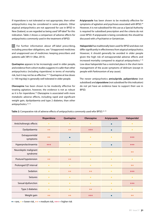If risperidone is not tolerated or not appropriate, then other antipsychotics may be considered in some patients. Other atypical antipsychotics are not approved for use in BPSD in New Zealand, so are regarded as being used "off-label" for this indication. Table 2 shows a comparison of adverse effects for antipsychotics commonly used in the treatment of BPSD.

 $G$  For further information about off-label prescribing, including prescriber obligations, see: "Unapproved medicines and unapproved use of medicines: keeping prescribers and patients safe", BPJ 51 (Mar, 2013).

**Quetiapine** appears to be increasingly used in older people, and evidence from cohort studies suggests it is safer than other antipsychotics (including risperidone) in terms of mortality risk, but it may not be as effective.<sup>14, 15</sup> Quetiapine at low doses (< 100 mg/day) is generally well tolerated in older people.

**Olanzapine** has been shown to be modestly effective for treating agitation, however, the evidence is not as robust as it is for risperidone.<sup>18</sup> Olanzapine is associated with more metabolic adverse effects, including rapid and significant weight gain, dyslipidaemia and type 2 diabetes, than other antipsychotics.<sup>14, 16</sup>

**Aripiprazole** has been shown to be modestly effective for symptoms of agitation and psychoses associated with BPSD.<sup>18</sup> However, it is not subsidised for this use as a Special Authority is required for subsidised prescription and the criteria do not cover BPSD. If aripiprazole is being considered, this should be discussed with a Psychiatrist or Geriatrician.

**Haloperidol** has traditionally been used for BPSD and does not differ significantly in effectiveness from atypical antipsychotics. However, it should generally be avoided in older people given the high risk of extrapyramidal adverse effects and increased mortality compared to atypical antipsychotics.<sup> $2,16$ </sup> Low-dose haloperidol has a restricted place in the short-term management of the acute symptoms of delirium (except in people with Parkinsonism of any cause).

The newer antipsychotics **amisulpride**, **paliperidone** (not subsidised) and **ziprasidone** (not subsidised for this indication) do not yet have an evidence base to support their use in BPSD.

| Table 2: Comparative risk of adverse effects of antipsychotics commonly used wfor BPSD. <sup>16,19</sup> |  |
|----------------------------------------------------------------------------------------------------------|--|
|----------------------------------------------------------------------------------------------------------|--|

|                                   | Risperidone          | Quetiapine | Olanzapine           | Aripiprazole | Haloperidol |
|-----------------------------------|----------------------|------------|----------------------|--------------|-------------|
| Anticholinergic effects           | $\ddot{\phantom{1}}$ | ÷          | $+$                  |              | $\ddot{}$   |
| Dyslipidaemia                     | $++$                 | $++$       | $+ + +$              |              | $+$         |
| Extrapyramidal<br>symptoms        | $++$                 |            | $+$                  | ÷            | $+ + +$     |
| Hyperprolactinaemia               | $+ + +$              | $+$        | $+$                  |              | $^{+++}$    |
| Neuroleptic malignant<br>syndrome | $\ddot{\phantom{1}}$ | $+$        | $+$                  | $+$          | $++$        |
| Postural hypotension              | $++$                 | $++$       | $+$                  | $+$          | ÷           |
| Prolonged QT interval             | $+$                  | $+$        | $+$                  | $+$          | $++$        |
| Sedation                          | $+$                  | $++$       | $++$                 | $+$          | $+ + +$     |
| <b>Seizures</b>                   | $+$                  | $+$        | $\ddot{\phantom{1}}$ | $+$          | $\ddot{}$   |
| Sexual dysfunction                | $\ddot{\phantom{1}}$ | $+$        | $+$                  | $+$          | $+ + +$     |
| Type 2 diabetes                   | $+$                  | $+$        | $++$                 | $+$          | $+$         |
| Weight gain                       | $++$                 | $++$       | $+ + +$              |              | $++$        |

 $\bullet$  = rare,  $\text{+}$  = lower risk,  $\text{+}$  + = medium risk,  $\text{+}$  + + = higher risk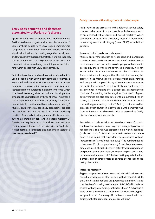#### **Lewy Body dementia and dementia associated with Parkinson's disease**

Approximately 10% of people with dementia have Parkinson's disease or significant Parkinsonian symptoms.<sup>20</sup> Some of these people have Lewy Body dementia. Core symptoms of Lewy Body dementia include complex visual hallucinations, fluctuating cognitive impairment and Parkinsonism that is neither stroke nor drug-induced. It is recommended that a Psychiatrist or Geriatrician is consulted before considering prescribing any medicines for BPSD in people with Lewy Body dementia.

Typical antipsychotics such as haloperidol should not be used in people with Lewy Body dementia or dementia associated with Parkinson's disease as they can cause dangerous extrapyramidal symptoms. There is also an increased risk of neuroleptic malignant syndrome, which is a life-threatening disorder induced by dopamine antagonists, characterised by hyperthermia, hypertonia ("lead pipe" rigidity in all muscle groups), changes in mental state, hyporeflexia and haemodynamic instability.<sup>21</sup> Atypical antipsychotics, especially olanzapine, are also best avoided, as they can result in severe sensitivity reactions (e.g. marked extrapyramidal effects, confusion, autonomic instability, falls and increased mortality).<sup>20</sup> Quetiapine may be used at low doses with extreme caution, in consultation with a Geriatrician or Psychiatrist, if cholinesterase inhibitors and non-pharmacological treatments have failed.<sup>22</sup>



Antipsychotics are associated with additional serious safety concerns when used in older people with dementia, such as an increased risk of stroke and overall mortality. When considering antipsychotic treatment, these risks need to be balanced against the risk of injury (due to BPSD) for individual patients.

#### **Increased risk of cerebrovascular events**

Atypical antipsychotics, such as risperidone and olanzapine, have been associated with an increased risk of cerebrovascular adverse events, such as stroke, in older people with dementia, particularly those with more advanced dementia. It is not known what the exact mechanism for this association is. There is evidence to suggest that the risk of stroke may be greatest in the first weeks of use of an atypical antipsychotic, and people with a past history of cerebrovascular events are particularly at risk.<sup>23</sup> The risk of stroke may not return to baseline until six months after a patient ceases antipsychotic treatment (depending on the length of treatment).<sup>24</sup> Typical antipsychotics are also associated with an increased risk of stroke, but there is some evidence that this risk is less than that with atypical antipsychotics.24 Antipsychotics should be prescribed with caution in elderly people with dementia who have an increased cardiovascular risk or personal or family history of cerebrovascular events.

An analysis of trials found an increased odds ratio of 2.13 for cerebrovascular adverse events in people taking antipsychotics for dementia. This risk was especially high with risperidone (odds ratio 3.43).25 Another systematic review and metaanalysis also found that risperidone was associated with an increased risk of stroke (odds ratio 3.12).<sup>14</sup> The number needed to harm was 53.14 A comparative study found that there was no difference in risk of stroke between patients taking risperidone and patients taking olanzapine, i.e. suggesting that olanzapine has the same increased risk.<sup>17</sup> Patients taking quetiapine had a smaller risk of cerebrovascular adverse events than those taking olanzapine.<sup>17</sup>

#### **Increased mortality**

Atypical antipsychotics have been associated with an increased overall mortality rate in older people with dementia. In 2005, the United States Food and Drug Administration (FDA) stated that the risk of mortality was increased 1.6 -1.7-fold in patients treated with atypical antipsychotics for BPSD.<sup>26</sup> A subsequent meta-analysis also found a similar mortality rate with atypical antipsychotics.<sup>4</sup> For every 87 patients treated with an antipsychotic for dementia, one patient will die.<sup>14</sup>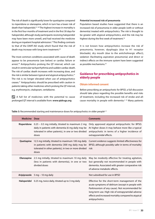The risk of death is significantly lower for quetiapine compared to risperidone or olanzapine, which in turn has a lower risk of death than haloperidol.27, 28 The highest increase in mortality is in the first four months of treatment and in the first 30 days for haloperidol, although study participants receiving haloperidol may have been more unwell, and had received the medicine during an inpatient hospital admission.27 This finding contrasts to that of the DART-AD study which found that the risk of death may increase with long-term treatment.<sup>29</sup>

The most common conditions associated with cause of death appear to be pneumonia (see below) or cardiac failure or arrest.<sup>30</sup> Antipsychotics prolong the QT interval, which can result in ventricular tachyarrhythmia and sudden cardiac death. The risk of cardiac death increases with increasing dose, and the risk is similar between typical and atypical antipsychotics.<sup>31</sup> The risk is no longer elevated when use of antipsychotics ceases.31 Antipsychotics should be prescribed with caution in patients taking other medicines which prolong the QT interval, e.g. erythromycin, citalopram, venlafaxine.

 $\mathscr{P}$  A full list of medicines with the potential to cause prolonged QT interval is available from: **www.qtdrugs.org**

#### **Potential increased risk of pneumonia**

Population based studies have suggested that there is an increased risk of pneumonia in older people (with or without dementia) treated with antipsychotics. The risk is thought to be greater with atypical antipsychotics, and the risk may be highest during the first week of treatment.<sup>32</sup>

It is not known how antipsychotics increase the risk of pneumonia, however, dysphagia (due to H1 receptor blockade), dry mouth (due to the anticholinergic effect), sedation (facilitating aspiration pneumonia) and direct or indirect effects on the immune system have been suggested as possible mechanisms.<sup>32</sup>

#### **Guidance for prescribing antipsychotics in elderly people**

#### **Obtain informed consent**

Before prescribing an antipsychotic for BPSD, a full discussion should take place regarding the possible benefits and risks of treatment, including the increased risk of stroke and allcause mortality in people with dementia.<sup>2, 10</sup> Many patients

**Medicine Dose Comments Risperidone** 0.25 – 0.5 mg initially, titrated to maximum 2 mg daily in patients with dementia (6 mg daily may be tolerated in other patients), in one or two divided doses Only approved atypical antipsychotic for BPSD. At higher doses it may behave more like a typical antipsychotic in terms of a higher incidence of extrapyramidal effects. **Quetiapine** 12.5 mg initially, titrated to maximum 100 mg daily in patients with dementia (300 mg daily may be tolerated in other patients), in two or more divided doses Current evidence suggests limited effectiveness for BPSD, although possibly safer in terms of mortality risk **Olanzapine** 2.5 mg initially, titrated to maximum 10 mg daily (less in patients with dementia), in one or two divided doses May be modestly effective for treating agitation, but generally not recommended in people with dementia. Associated with greater comparative risk of adverse metabolic effects. **Aripiprazole** 5 mg – 10 mg daily Not subsidised for use in BPSD **Haloperidol** 0.25 mg, twice daily, titrated up to 3 mg daily Effective for the short-term management of the acute symptoms of delirium (except in people with Parkinsonism of any cause). Not recommended for long-term use. High risk of extrapyramidal adverse effects and increased mortality compared to atypical antipsychotics.

Table 3: Recommended starting and maintenance doses for antipsychotics in older people<sup>2,5</sup>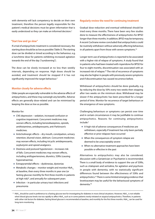with dementia will lack competency to decide on their own treatment, therefore the person legally responsible for the patient's medical decisions must be given information that is easily understood so they can make an informed decision.<sup>2</sup>

#### **"Start low and go slow"**

If a trial of antipsychotic treatment is considered necessary, the starting dose should be as low as possible (Table 3). The starting dose can be divided or timed according to the behaviour, e.g. a lunchtime dose for patients exhibiting increased agitation towards the end of the day ("sundowning").

The dose can be slowly increased at no less than weekly intervals, depending on response. High doses should be avoided, and treatment should be stopped if it has not significantly improved the target behaviour.<sup>2</sup>

#### **Monitor closely for adverse effects**

Older people are especially vulnerable to the adverse effects of antipsychotics, and these may outweigh any benefits. Adverse effects are generally dose-related and can be minimised by keeping the dose as low as possible.

#### Monitor for:

- CNS depression sedation, increased confusion or cognitive impairment. Concurrent medicines may worsen effects, including benzodiazepines, opioids, antihistamines, antidepressants, anti-Parkinson's medicines.
- Anticholinergic effects dry mouth, constipation, urinary retention, blurred vision, delirium. Concurrent medicines may worsen effects, including tricyclic antidepressants, oxybutynin and opioid analgesics.
- Dizziness and postural hypotension increases risk of falls. Concurrent medicines may worsen effects, including antihypertensives, diuretics, SSRIs (causing hyponatraemia).
- Extrapyramidal effects dyskinesias, dystonias
- $\blacksquare$  Metabolic changes monitor weight and monitor HbA<sub>1c</sub> at baseline, then every three months in year one (or fasting glucose monthly for first three months in patients at high risk)\*, and annually for subsequent years
- $\blacksquare$  Infection in particular urinary tract infections and pneumonia

#### **Regularly review the need for continuing treatment**

Gradual dose reduction and eventual withdrawal should be tried every three months. There have been very few studies done to measure the effectiveness of antipsychotics for BPSD longer than three months. In addition, BPSD may be temporary. A recent Cochrane review concluded that antipsychotics could be routinely withdrawn without adversely affecting behaviour, in all patients apart from those with severe symptoms.<sup>33</sup>

Longer-term use of antipsychotics is reported to be associated with a higher risk of relapse of symptoms. A study found that in patients who had been treated with risperidone for BPSD for four to eight months, discontinuation was associated with an increased risk of relapse.<sup>34</sup> The risk of recurrence of symptoms may also be higher in people with previously severe symptoms and if discontinuation has caused recurrence before.

Withdrawal of antipsychotics should be done gradually, e.g. by reducing the dose by 50% every two weeks then stopping after two weeks on the minimum dose. Withdrawal may be slower if the antipsychotic has been prescribed for a longer period of time. Monitor for recurrence of target behaviours or the emergence of new symptoms.

Challenging behaviours or symptoms can persist over time and in certain circumstances it may be justifiable to continue antipsychotics. Reasons for continuing antipsychotics include:2

- A high risk of adverse consequences if medicines are withdrawn, especially if treatment has only been partially effective or prior relapses have occurred
- When the consequences of symptom relapse are deemed to be unacceptably severe
- When no alternative treatment approaches have been possible or effective in the past

Alternatives to antipsychotics may also be considered; discussion with a Geriatrician or Psychiatrist is recommended. There is a small body of evidence to support the use of SSRIs, such as citalopram and sertraline, for agitation and psychosis in people with dementia, with no statistically significant differences found between the effectiveness of SSRIs and antipsychotics.35 There is some limited emerging evidence that levetiracetam may be useful for the behavioural symptoms of dementia.36

<sup>\*</sup> HbA<sub>1c</sub> should be used in preference to a fasting glucose test for investigating for diabetes in most clinical situations. However, HbA<sub>1c</sub> is not reliable when blood glucose levels rise too rapidly to affect HbA<sub>1c</sub> such as in some patients newly initiated on atypical antipsychotics. Therefore, in patients with other risk factors for diabetes, fasting blood glucose is recommended at baseline, and monthly for the first three months. HbA<sub>1</sub> can be used for long-term monitoring.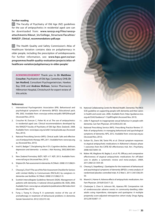#### **Further reading**

 $\left|\overline{G}\right|$  The Faculty of Psychiatry of Old Age (NZ) guidelines for the use of antipsychotics in residential aged care can be downloaded from: **www.ranzcp.org/Files/ranzcpattachments/About\_Us/College\_Structure/Faculties/ RANZCP\_Clinical\_recommendations-pdf.aspx**

The Health Quality and Safety Commission's Atlas of Healthcare Variation contains data on polypharmacy in older people, including the prescription of antidepressants. For further information, see: **www.hqsc.govt.nz/ourprogrammes/health-quality-evaluation/projects/atlas-ofhealthcare-variation/polypharmacy-in-older-people/** 

**ACKNOWLEDGEMENT** Thank you to **Dr Matthew Croucher**, Psychiatrist of Old Age, Canterbury DHB, **Dr Ian Hosford,** Consultant Psychogeriatrician, Hawkes Bay DHB and **Andrew McKean**, Senior Pharmacist, Hillmorton Hospital, Christchurch for expert review of this article.

#### **References**

- 1. International Psychogeriatric Association (IPA). Behavioural and psychological symptoms of dementia (BPSD): Educational pack. IPA; 2002. Available from: www.ipa-online.net/pdfs/1BPSDfinal.pdf (Accessed Nov, 2013).
- 2. Croucher M, Duncan C, Fisher M, et al. The use of antipsychotics in residential aged care. Clinical recommendations developed by the RANZCP Faculty of Psychiatry of Old Age (New Zealand). 2008. Available from: www.bpac.org.nz/a4d///ranzcpGuide.asp (Accessed Nov, 2013).
- 3. National Prescribing Service (NPS). Clinical audit: Safe and effective use of antipsychotic therapy. NPS, 2011. Available from: www.nps.org. au (Accessed Nov, 2013).
- 4. Insel K, Badger T. Deciphering the 4 D's: Cognitive decline, delirium, depression and dementia - a review. J Adv Nursing. 2002;38(4):360– 8.
- 5. New Zealand Formulary (NZF). NZF v17. NZF; 2013. Available from: www.nzf.org.nz (Accessed Nov, 2013).
- 6. Shipton EA. Pain assessment in dementia. N Z Med J. 2008;121(1286):9– 11.
- 7. Cheung G, Choi P. The use of the Pain Assessment Checklist for Seniors with Limited Ability to Communicate (PACSLAC) by caregivers in dementia care facilities. N Z Med J 2008;121(1286):21-9.
- 8. Scottish Intercollegiate Guidelines Network (SIGN). Management of patients with dementia. A national clinical guideline 86. SIGN, 2006. Available from: www.sign.ac.uk/patients/publications/86/index.html (Accessed Nov, 2013).
- 9. Fung J, Tsang H, Chung R. A systematic review of the use of aromatherapy in treatment of behavioural problems in dementia. Geriatr Gerontol Int. 2012;12(3):372–82.



- 10. National Collaborating Centre for Mental Health. Dementia: The NICE-SCIE guideline on supporting people with dementia and thier carers in health and social care. 2006. Available from: http://guidance.nice. org.uk/CG42/Guidance/1-7/pdf/English (Accessed Nov, 2013).
- 11. Joller P. Approach to inappropriate sexual behaviour in people with dementia. Can Fam Physician. 2013;59(3):255–60.
- 12. National Prescribing Service (NPS). Prescribing Practice Review 37: Role of antipsychotics in managing behavioural and pyschological symptoms of dementia. NPS, 2012. Available from: www.nps.org.au (Accessed Nov, 2013).
- 13. Sultzer DL, Davis SM, Tariot PN, et al. Clinical symptom responses to atypical antipsychotic medications in Alzheimer's disease: phase 1 outcomes from the CATIE-AD effectiveness trial. Am J Psychiatry. 2008;165(7):844–54.
- 14. Maher AR, Maglione M, Bagley S, et al. PG. Efficacy and comparative effectiveness of atypical antipsychotic medications for off-label uses in adults: a systematic review and meta-analysis. JAMA. 2011;306(12):1359–69.
- 15. Cheung G, Stapelberg J. Quetiapine for the treatment of behavioural and psychological symptoms of dementia (BPSD): a meta-analysis of randomised placebo-controlled trials. N Z Med J. 2011;124(1336):39– 50.
- 16. Muench J, Hamer A. Adverse effects of antipsychotic medications. Am Fam Physician. 2010;81(5):617–22.
- 17. Chatterjee S, Chen H, Johnson ML, Aparasu RR. Comparative risk of cerebrovascular adverse events in community-dwelling older adults using risperidone, olanzapine and quetiapine: A multiple propensity score-adjusted retrospective cohort study. Drugs Aging. 2012;29(10):807–17.